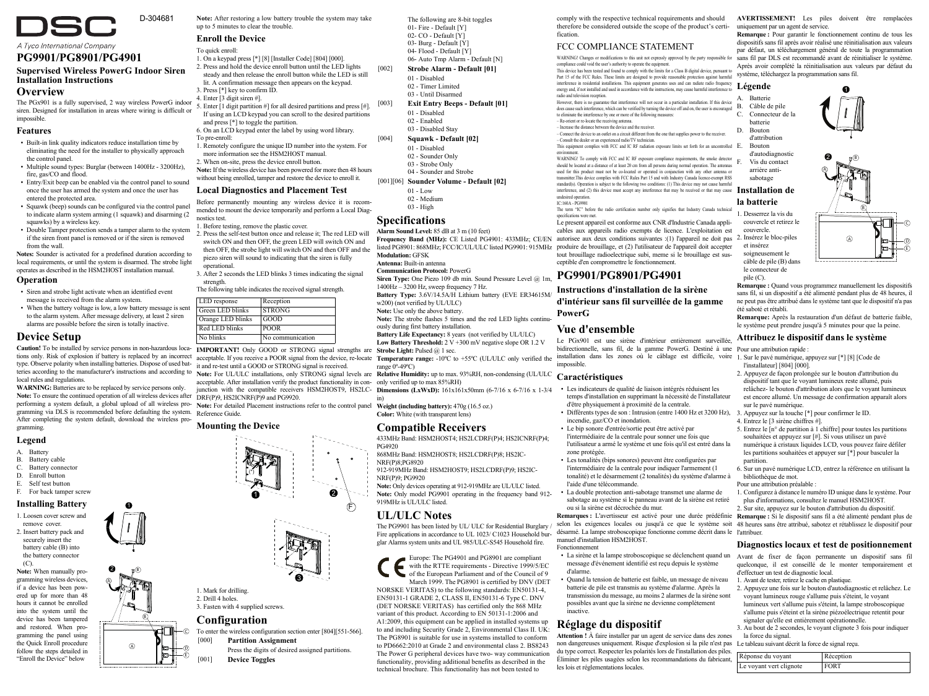

# **PG9901/PG8901/PG4901**

### **Supervised Wireless PowerG Indoor Siren Installation Instructions**

### **Overview**

The PGx901 is a fully supervised, 2 way wireless PowerG indoor siren. Designed for installation in areas where wiring is difficult or impossible.

### **Features**

- Built-in link quality indicators reduce installation time by eliminating the need for the installer to physically approach the control panel.
- Multiple sound types: Burglar (between 1400Hz 3200Hz), fire, gas/CO and flood.
- Entry/Exit been can be enabled via the control panel to sound once the user has armed the system and once the user has entered the protected area.
- Squawk (beep) sounds can be configured via the control panel to indicate alarm system arming (1 squawk) and disarming (2 squawks) by a wireless key.
- Double Tamper protection sends a tamper alarm to the system if the siren front panel is removed or if the siren is removed from the wall.

**Notes:** Sounder is activated for a predefined duration according to local requirements, or until the system is disarmed. The strobe light operates as described in the HSM2HOST installation manual.

#### **Operation**

- Siren and strobe light activate when an identified event message is received from the alarm system.
- When the battery voltage is low, a low battery message is sent to the alarm system. After message delivery, at least 2 siren alarms are possible before the siren is totally inactive.

### **Device Setup**

tions only. Risk of explosion if battery is replaced by an incorrect acceptable. If you receive a POOR signal from the device, re-locate **Temperature range:** -10°C to +55°C (UL/ULC only verified the type. Observe polarity when installing batteries. Dispose of used bat-it and re-test until a GOOD or STRONG signal is received. type: Observe polarity when installing batteries. Dispose of used bat-<br>teries according to the manufacturer's instructions and according to **Note:** For UL/ULC installations, only STRONG signal levels are **Relative Humidity** local rules and regulations.

**WARNING:** Batteries are to be replaced by service persons only. Note: To ensure the continued operation of all wireless devices after  $DRF(P)9$ , HS2ICNRF(P)9 and PG9920. gramming via DLS is recommended before defaulting the system. After completing the system default, download the wireless programming.

A

2

B

1

B

A

### **Legend**

- A. Battery
- B. Battery cable
- C. Battery connector D. Enroll button
- E. Self test button
- F. For back tamper screw

#### **Installing Battery**

1. Loosen cover screw and remove cover. 2. Insert battery pack and securely insert the battery cable (B) into the battery connector

 $(C)$ **Note:** When manually programming wireless devices, if a device has been powered up for more than 48 hours it cannot be enrolled into the system until the device has been tampered and restored. When programming the panel using the Quick Enroll procedure follow the steps detailed in "Enroll the Device" below

**Note:** After restoring a low battery trouble the system may take up to 5 minutes to clear the trouble.

### **Enroll the Device**

- To quick enroll:
- 1. On a keypad press [\*] [8] [Installer Code] [804] [000]. 2. Press and hold the device enroll button until the LED lights
- steady and then release the enroll button while the LED is still lit. A confirmation message then appears on the keypad.
- 3. Press [\*] key to confirm ID.
- 4. Enter [3 digit siren #].
- 5. Enter [1 digit partition #] for all desired partitions and press [#]. If using an LCD keypad you can scroll to the desired partitions and press [\*] to toggle the partition.
- 6. On an LCD keypad enter the label by using word library. To pre-enroll:
- 1. Remotely configure the unique ID number into the system. For more information see the HSM2HOST manual. 2. When on-site, press the device enroll button.
- **Note:** If the wireless device has been powered for more then 48 hours
- without being enrolled, tamper and restore the device to enroll it. **Local Diagnostics and Placement Test**
- Before permanently mounting any wireless device it is recommended to mount the device temporarily and perform a Local Diagnostics test.
- 1. Before testing, remove the plastic cover. 2. Press the self-test button once and release it; The red LED will switch ON and then OFF, the green LED will switch ON and
- then OFF, the strobe light will switch ON and then OFF and the piezo siren will sound to indicating that the siren is fully .<br>operational
- 3. After 2 seconds the LED blinks 3 times indicating the signal strength.

The following table indicates the received signal strength.

| LED response      | Reception        |
|-------------------|------------------|
| Green LED blinks  | <b>STRONG</b>    |
| Orange LED blinks | GOOD             |
| Red LED blinks    | <b>POOR</b>      |
| No blinks         | No communication |

**Caution!** To be installed by service persons in non-hazardous loca-**IMPORTANT!** Only GOOD or STRONG signal strengths are **Strobe Light:** Pulsed @ 1 sec.

acceptable. After installation verify the product functionality in con-only verified up to max 85%RH)

Note: To ensure the commuted operation of an wireless devices and **DRF(P)9**, HS2ICNRF(P)9 and PG9920. a has a system default, a global upload of all wireless pro-Note: For detailed Placement instructions refer to the contr Reference Guide.

#### **Mounting the Device**

1. Mark for drilling. 2. Drill 4 holes. 3. Fasten with 4 supplied screws.  $\overline{\mathbf{a}}$ F 3 1 (\*)

#### **Configuration**

C

E

To enter the wireless configuration section enter [804][551-566]. [000] **Partition Assignment**

Press the digits of desired assigned partitions. [001] **Device Toggles**

The following are 8-bit toggles 01- Fire - Default [Y] 02- CO - Default [Y] 03- Burg - Default [Y] 04- Flood - Default [Y]

- 06- Auto Tmp Alarm Default [N] [002] **Strobe Alarm - Default [01]**
	- 01 Disabled
	- 02 Timer Limited 03 - Until Disarmed
- [003] **Exit Entry Beeps Default [01]**
	- 01 Disabled 02 - Enabled
	- 03 Disabled Stay
- [004] **Squawk Default [02]**
	- 01 Disabled 02 - Sounder Only
	- 03 Strobe Only
- 04 Sounder and Strobe [001][06] **Sounder Volume - Default [02]**
- $01 L$  ow
	- 02 Medium
- 03 High

### **Specifications**

- **Alarm Sound Level:** 85 dB at 3 m (10 feet) Frequency Band (MHz): CE Listed PG4901: 433MHz; CE/EN autorisee aux deux conditions suivantes :(1) l'appareil ne doit pas 2. Insérez le bloc-piles listed PG8901: 868MHz; FCC/IC/UL/ULC listed PG9901: 915MHz produire de brouillage, et (2) l'utilisateur de l'appareil doit accepter
- **Modulation:** GFSK **Antenna:** Built-in antenna
- **Communication Protocol:** PowerG

**Siren Type:** One Piezo 109 db min. Sound Pressure Level @ 1m

- 1400Hz 3200 Hz, sweep frequency 7 Hz. **Battery Type:** 3.6V/14.5A/H Lithium battery (EVE ER34615M/
- w200) (not verified by  $UU/TU$
- **Note:** Use only the above battery.
- **Note:** The strobe flashes 5 times and the red LED lights continu-
- ously during first battery installation.
- **Battery Life Expectancy:** 8 years (not verified by UL/ULC) Low Battery Threshold:  $2 \text{ V} + 300 \text{ mV}$  negative slope OR 1.2 V
- 
- 
- **Caractéristiques** ï Les indicateurs de qualité de liaison intégrés réduisent les
- junction with the compatible receivers HSM2HOST9, HS2LC-**Dimensions (LxWxD):** 161x161x50mm (6-7/16 x 6-7/16 x 1-3/4

**Color:** White (with transparent lens)

### **Compatible Receivers**

433MHz Band: HSM2HOST4; HS2LCDRF(P)4; HS2ICNRF(P)4; PG4920

- 868MHz Band: HSM2HOST8; HS2LCDRF(P)8; HS2IC-
- NRF(P)8;PG8920 912-919MHz Band: HSM2HOST9; HS2LCDRF(P)9; HS2IC-NRF(P)9; PG9920
- **Note:** Only devices operating at 912-919MHz are UL/ULC listed. Note: Only model PG9901 operating in the frequency band 912-919MHz is UL/ULC listed.

# **UL/ULC Notes**

The PG9901 has been listed by UL/ ULC for Residential Burglary Fire applications in accordance to UL 1023/ C1023 Household burglar Alarms system units and UL 985/ULC-S545 Household fire.

Europe: The PG4901 and PG8901 are compliant with the RTTE requirements - Directive 1999/5/EC of the European Parliament and of the Council of 9 March 1999. The PG8901 is certified by DNV (DET

NORSKE VERITAS) to the following standards: EN50131-4, EN50131-1 GRADE 2, CLASS II, EN50131-6 Type C. DNV (DET NORSKE VERITAS) has certified only the 868 MHz

variant of this product. According to EN 50131-1:2006 and A1:2009, this equipment can be applied in installed systems up to and including Security Grade 2, Environmental Class II. UK The PG8901 is suitable for use in systems installed to conform to PD6662:2010 at Grade 2 and environmental class 2. BS8243 The Power G peripheral devices have two- way communication functionality, providing additional benefits as described in the technical brochure. This functionality has not been tested to

comply with the respective technical requirements and should therefore be considered outside the scope of the product's certi-uniquement par un agent de service. fication.

### FCC COMPLIANCE STATEMENT

WARNING! Changes or modifications to this unit not expressly approved by the party responsible for sans fil par DLS est recommandé avant de réinitialiser le système. compliance could void the user's authority to operate the equipment. This device has been tested and found to comply with the limits for a Class B digital device, pursuant to

Part 15 of the FCC Rules. These limits are designed to provide reasonable protection against harmful interference in residential installations. This equipment generates uses and can radiate radio frequency energy and, if not installed and used in accordance with the instructions, may cause harmful interference to radio and television reception. However, there is no guarantee that interference will not occur in a particular installation. If this device does cause such interference, which can be verified by turning the device off and on, the user is encouraged

- to eliminate the interference by one or more of the following measures: – Re-orient or re-locate the receiving antenna. – Increase the distance between the device and the receiver. – Connect the device to an outlet on a circuit different from the one that supplies power to the receiver.
- Consult the dealer or an experienced radio/TV technician.

undesired operation. IC:160A - PG9901

specifications were me

**PowerG**

impossible.

**Vue d'ensemble**

incendie, gaz/CO et inondation. ï Le bip sonore d'entrée/sortie peut être activé par l'intermédiaire de la centrale pour sonner une fois que l'utilisateur a armé le système et une fois qu'il est entré dans la

l'aide d'une télécommande.

manuel d'installation HSM2HOST.

**Réglage du dispositif** 

les lois et réglementations locales.

Fonctionnement

d'alarme.

inactive.

ou si la sirène est décrochée du mur.

zone protégée.

This equipment complies with FCC and IC RF radiation exposure limits set forth for an uncontrolled  $\quad$ E.<br>This equipment environment. WARNING! To comply with FCC and IC RF exposure compliance requirements, the smoke detector should be located at a distance of at least 20 cm from all persons during normal operation. The antennas used for this product must not be co-located or operated in conjunction with any other antenna or transmitter.This device complies with FCC Rules Part 15 and with Industry Canada licence-exempt RSS standard(s). Operation is subject to the following two conditions: (1) This device may not cause harmful interference, and (2) this device must accept any interference that may be received or that may cause  $\prod$ nstallation de

The term "IC" before the radio certification number only signifies that Industry Canada technical

Le present appareil est conforme aux CNR d'Industrie Canada applicables aux appareils radio exempts de licence. L'exploitation est

tout brouillage radioelectrique subi, meme si le brouillage est sus-

Le PGx901 est une sirène d'intérieur entièrement surveillée

temps d'installation en supprimant la nécessité de l'installateur d'être physiquement à proximité de la centrale.

• Les tonalités (bips sonores) peuvent être configurées par l'intermédiaire de la centrale pour indiquer l'armement (1 tonalité) et le désarmement (2 tonalités) du système d'alarme à

ï La double protection anti-sabotage transmet une alarme de sabotage au système si le panneau avant de la sirène est retiré

message d'événement identifié est reçu depuis le système

ï Quand la tension de batterie est faible, un message de niveau batterie de pile est transmis au système d'alarme. Après la transmission du message, au moins 2 alarmes de la sirène sont possibles avant que la sirène ne devienne complètement

**Attention !** À faire installer par un agent de service dans des zones

du type correct. Respecter les polarités lors de l'installation des piles. Éliminer les piles usagées selon les recommandations du fabricant,

désarmé. La lampe stroboscopique fonctionne comme décrit dans le l'attribuer.

bidirectionnelle, sans fil, de la gamme PowerG. Destiné à une Pour une attribution rapide :

installation dans les zones où le câblage est difficile, voire 1. Sur le pavé numérique, appuyez sur [\*] [8] [Code de

été saboté et rétabli.

l'installateur] [804] [000].

sur le pavé numérique. 4. Entrez le [3 sirène chiffres #].

partition.

bibliothèque de mot. Pour une attribution préalable :

d'effectuer un test de diagnostic local. 1. Avant de tester, retirez le cache en plastique.

Réponse du voyant Réception Le voyant vert clignote FORT

la force du signal.

**AVERTISSEMENT!** Les piles doivent être remplacées **Remarque :** Pour garantir le fonctionnement continu de tous les dispositifs sans fil après avoir réalisé une réinitialisation aux valeurs par défaut, un téléchargement général de toute la programmation Après avoir complété la réinitialisation aux valeurs par défaut du

**Remarque :** Quand vous programmez manuellement les dispositifs sans fil, si un dispositif a été alimenté pendant plus de 48 heures, il ne peut pas être attribué dans le système tant que le dispositif n'a pas

A

2

B

B

A

ĉ

E

**Remarque:** Après la restauration d'un défaut de batterie faible, le système peut prendre jusqu'à 5 minutes pour que la peine. **Attribuez le dispositif dans le système**

2. Appuyez de façon prolongée sur le bouton d'attribution du dispositif tant que le voyant lumineux reste allumé, puis relâchez- le bouton d'attribution alors que le voyant lumineux est encore allumé. Un message de confirmation apparaît alors

5. Entrez le  $[**n**°$  de partition à 1 chiffre] pour toutes les partitions souhaitées et appuyez sur [#]. Si vous utilisez un pavé numérique à cristaux liquides LCD, vous pouvez faire défiler les partitions souhaitées et appuyer sur [\*] pour basculer la

6. Sur un pavé numérique LCD, entrez la référence en utilisant la

1. Configurez à distance le numéro ID unique dans le système. Pour plus d'informations, consultez le manuel HSM2HOST. 2. Sur site, appuyez sur le bouton d'attribution du dispositif.

**Diagnostics locaux et test de positionnement** quelconque, il est conseillé de le monter temporairement et

2. Appuyez une fois sur le bouton d'autodiagnostic et relâchez. Le voyant lumineux rouge s'allume puis s'éteint, le voyant lumineux vert s'allume puis s'éteint, la lampe stroboscopique s'allume puis s'éteint et la sirène piézoélectrique retentit pour signaler qu'elle est entièrement opérationnelle. 3. Au bout de 2 secondes, le voyant clignote 3 fois pour indiquer

système, téléchargez la programmation sans fil.

**Légende** A. Batterie B. Câble de pile<br>C. Connecteur d Connecteur de la batterie D. Bouton d'attribution E. Bouton d'autodiagnostic F. Vis du contact arrière antisabotage **la batterie** 1. Desserrez la vis du couvercle et retirez le couvercle. et insérez soigneusement le câble de pile (B) dans le connecteur de pile (C).

• Différents types de son : Intrusion (entre 1400 Hz et 3200 Hz), 3. Appuyez sur la touche [\*] pour confirmer le ID.

**Remarques :** L'avertisseur est activé pour une durée prédéfinie **Remarque :** Si le dispositif sans fil a été alimenté pendant plus de selon les exigences locales ou jusqu'à ce que le système soit 48 heures sans être attribué, sabotez et rétablissez le dispositif pour

ï La sirène et la lampe stroboscopique se déclenchent quand un Avant de fixer de façon permanente un dispositif sans fil

non dangereuses uniquement. Risque d'explosion si la pile n'est pas Le tableau suivant décrit la force de signal reçu.

ceptible d'en compromettre le fonctionnement. **PG9901/PG8901/PG4901 Instructions d'installation de la sirène d'intérieur sans fil surveillée de la gamme**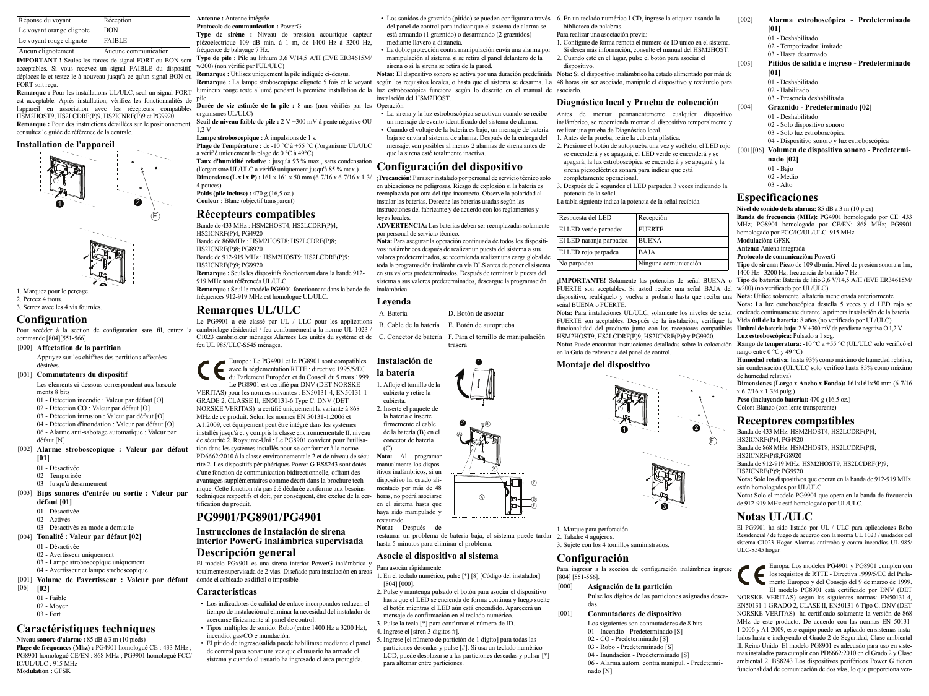| Réponse du voyant         | Réception            |
|---------------------------|----------------------|
| Le voyant orange clignote | <b>BON</b>           |
| Le voyant rouge clignote  | <b>FAIBLE</b>        |
| Aucun clignotement        | Aucune communication |

**IMPORTANT !** Seules les forces de signal FORT ou BON sont acceptables. Si vous recevez un signal FAIBLE du dispositif déplacez-le et testez-le à nouveau jusqu'à ce qu'un signal BON ou FORT soit reçu.

**Remarque :** Pour les installations UL/ULC, seul un signal FORT est acceptable. Après installation, vérifiez les fonctionnalités de pile. l'appareil en association avec les récepteurs compatibles HSM2HOST9, HS2LCDRF(P)9, HS2ICNRF(P)9 et PG9920. **Remarque :** Pour des instructions détaillées sur le positionnement, consultez le guide de référence de la centrale.

#### **Installation de l'appareil**





1. Marquez pour le perçage. 2. Percez 4 trous. 3. Serrez avec les 4 vis fournies.

### **Configuration**

Pour accéder à la section de configuration sans fil, entrez la commande [804][551-566].

[000] **Affectation de la partition** Appuyez sur les chiffres des partitions affectées désirées.

#### [001] **Commutateurs du dispositif**

Les éléments ci-dessous correspondent aux basculements 8 bits

- 01 Détection incendie : Valeur par défaut [O]
- 02 Détection CO : Valeur par défaut [O]
- 03 Détection intrusion : Valeur par défaut [O]
- 04 Détection d'inondation : Valeur par défaut [O] 06 - Alarme anti-sabotage automatique : Valeur par
- défaut [N] [002] **Alarme stroboscopique : Valeur par défaut**
	- **[01]**
	- 01 Désactivée
	- 02 Temporisée
	- 03 Jusqu'à désarmement
- [003] **Bips sonores d'entrée ou sortie : Valeur par défaut [01]**
	- 01 Désactivée
	- 02 Activés
	- 03 Désactivés en mode à domicile
- [004] **Tonalité : Valeur par défaut [02]**
	- 01 Désactivée
	- 02 Avertisseur uniquement
	- 03 Lampe stroboscopique uniquement
	- 04 Avertisseur et lampe stroboscopique
- [001] **Volume de l'avertisseur : Valeur par défaut**  $[06]$ 
	- **[02]**
	- 01 Faible
	- 02 Moyen
	- 03 Fort

## **Caractéristiques techniques**

**Niveau sonore d'alarme :** 85 dB à 3 m (10 pieds) **Plage de fréquences (Mhz) :** PG4901 homologué CE : 433 MHz ; PG8901 homologué CE/EN : 868 MHz ; PG9901 homologué FCC/ IC/UL/ULC : 915 MHz **Modulation :** GFSK

**Antenne :** Antenne intégrée **Protocole de communication :** PowerG

**Type de sirène :** Niveau de pression acoustique capteur piézoélectrique 109 dB min. à 1 m, de 1400 Hz à 3200 Hz, fréquence de balayage 7 Hz. **Type de pile :** Pile au lithium 3,6 V/14,5 A/H (EVE ER34615M/ w200) (non vérifié par l'UL/ULC)

**Remarque :** Utilisez uniquement la pile indiquée ci-dessus.

lumineux rouge reste allumé pendant la première installation de la luz estroboscópica funciona según lo descrito en el manual de asociarlo.

**Durée de vie estimée de la pile :** 8 ans (non vérifiés par les Operación organismes UL/ULC)  $\cdot$  La sirena y la luz estroboscópica se activan cuando se recibe

**Seuil de niveau faible de pile :** 2 V +300 mV à pente négative OU  $1.2 V$ 

**Lampe stroboscopique :** À impulsions de 1 s. **Plage de Température :** de -10 °C à +55 °C (l'organisme UL/ULC a vérifié uniquement la plage de 0 °C à 49°C) **Taux d'humidité relative :** jusqu'à 93 % max., sans condensation (l'organisme UL/ULC a vérifié uniquement jusqu'à 85 % max.) **Dimensions (L x l x P) :** 161 x 161 x 50 mm (6-7/16 x 6-7/16 x 1-3/

4 pouces) **Poids (pile incluse)** : 470 g (16.5 oz.) **Couleur :** Blanc (objectif transparent)

#### **Récepteurs compatibles**

Bande de 433 MHz : HSM2HOST4; HS2LCDRF(P)4; HS2ICNRF(P)4; PG4920 Bande de 868MHz · HSM2HOST8 · HS2LCDRF(P)8 · HS2ICNRF(P)8: PG8920 Bande de 912-919 MHz : HSM2HOST9; HS2LCDRF(P)9; HS2ICNRF(P)9; PG9920

**Remarque :** Seuls les dispositifs fonctionnant dans la bande 912- 919 MHz sont référencés UL/ULC. **Remarque :** Seul le modèle PG9901 fonctionnant dans la bande de fréquences 912-919 MHz est homologué UL/ULC.

### **Remarques UL/ULC**

tification du produit.

**Características**

**PG9901/PG8901/PG4901 Instrucciones de instalación de sirena interior PowerG inalámbrica supervisada**

**Descripción general**

donde el cableado es difícil o imposible.

incendio, gas/CO e inundación.

acercarse físicamente al panel de control.

ï Tipos múltiples de sonido: Robo (entre 1400 Hz a 3200 Hz),

de control para sonar una vez que el usuario ha armado el sistema y cuando el usuario ha ingresado el área protegida.

Le PG9901 a été classé par UL / ULC pour les applications cambriolage résidentiel / feu conformément à la norme UL 1023 / C1023 cambrioleur ménages Alarmes Les unités du système et de feu UL 985/ULC-S545 ménages.

Le PG8901 est certifié par DNV (DET NORSKE VERITAS) pour les normes suivantes : EN50131-4, EN50131-1 GRADE 2, CLASSE II, EN50131-6 Type C. DNV (DET NORSKE VERITAS) a certifié uniquement la variante à 868 MHz de ce produit. Selon les normes EN 50131-1:2006 et A1:2009, cet équipement peut être intégré dans les systèmes installés jusqu'à et y compris la classe environnementale II, niveau

#### Europe : Le PG4901 et le PG8901 sont compatibles avec la réglementation RTTE : directive 1995/5/EC du Parlement Européen et du Conseil du 9 mars 1999. **Instalación de la batería**

cubierta.

inalámbrica. **Leyenda**



A. Batería D. Botón de asociar B. Cable de la batería E. Botón de autoprueba C. Conector de batería F. Para el tornillo de manipulación trasera

de sécurité 2. Royaume-Uni : Le PG8901 convient pour l'utilisation dans les systèmes installés pour se conformer à la norme PD6662:2010 à la classe environnementale 2 et de niveau de sécu- Nota: Al programar rité 2. Les dispositifs périphériques Power G BS8243 sont dotés d'une fonction de communication bidirectionnelle, offrant des avantages supplémentaires comme décrit dans la brochure technique. Cette fonction n'a pas été déclarée conforme aux besoins techniques respectifs et doit, par conséquent, être exclue de la cer-horas, no podrá asociarse  $(C)$ manualmente los dispositivos inalámbricos, si un dispositivo ha estado alimentado por más de 48 en el sistema hasta que

haya sido manipulado y restaurado.

**Nota:** Después de

restaurar un problema de batería baja, el sistema puede tardar hasta 5 minutos para eliminar el problema.

B

1

B

A

E

del panel de control para indicar que el sistema de alarma se está armando (1 graznido) o desarmando (2 graznidos)

ï La doble protección contra manipulación envía una alarma por manipulación al sistema si se retira el panel delantero de la

un mensaje de evento identificado del sistema de alarma. ï Cuando el voltaje de la batería es bajo, un mensaje de batería baja se envía al sistema de alarma. Después de la entrega del mensaje, son posibles al menos 2 alarmas de sirena antes de

en sus valores predeterminados. Después de terminar la puesta del sistema a sus valores predeterminados, descargue la programación

mediante llavero a distancia.

instalación del HSM2HOST.

sirena o si la sirena se retira de la pared.

que la sirena esté totalmente inactiva. **Configuración del dispositivo ¡Precaución!** Para ser instalado por personal de servicio técnico solo en ubicaciones no peligrosas. Riesgo de explosión si la batería es reemplazada por otra del tipo incorrecto. Observe la polaridad al instalar las baterías. Deseche las baterías usadas según las instrucciones del fabricante y de acuerdo con los reglamentos y

### **Asocie el dispositivo al sistema**

- El modelo PGx901 es una sirena interior PowerG inalámbrica y totalmente supervisada de 2 vías. Diseñado para instalación en áreas Para asociar rápidamente: 1. En el teclado numérico, pulse [\*] [8] [Código del instalador] [804] [000].
	- 2. Pulse y mantenga pulsado el botón para asociar el dispositivo hasta que el LED se encienda de forma continua y luego suelte
- ï Los indicadores de calidad de enlace incorporados reducen el tiempo de instalación al eliminar la necesidad del instalador de el botón mientras el LED aún está encendido. Aparecerá un mensaje de confirmación en el teclado numérico.
	- 3. Pulse la tecla [\*] para confirmar el número de ID.
- ï El pitido de ingreso/salida puede habilitarse mediante el panel 4. Ingrese el [siren 3 dígitos #].
	- 5. Ingrese [el número de partición de 1 dígito] para todas las particiones deseadas y pulse [#]. Si usa un teclado numérico LCD, puede desplazarse a las particiones deseadas y pulsar [\*] para alternar entre particiones.

• Los sonidos de graznido (pitido) se pueden configurar a través 6. En un teclado numérico LCD, ingrese la etiqueta usando la biblioteca de palabras.

Para realizar una asociación previa:

1. Configure de forma remota el número de ID único en el sistema. Si desea más información, consulte el manual del HSM2HOST. 2. Cuando esté en el lugar, pulse el botón para asociar el dispositivo.

Remarque : La lampe stroboscopique clignote 5 fois et le voyant según los requisitos locales, o hasta que el sistema se desarma. La 48 horas sin ser asociado, manipule el dispositivo y restáurelo para **Notas:** El dispositivo sonoro se activa por una duración predefinida **Nota:** Si el dispositivo inalámbrico ha estado alimentado por más de

#### **Diagnóstico local y Prueba de colocación**

Antes de montar permanentemente cualquier dispositivo inalámbrico, se recomienda montar el dispositivo temporalmente y realizar una prueba de Diagnóstico local. 1. Antes de la prueba, retire la cubierta plástica. 2. Presione el botón de autoprueba una vez y suéltelo; el LED rojo se encenderá y se apagará, el LED verde se encenderá y se apagará, la luz estroboscópica se encenderá y se apagará y la sirena piezoeléctrica sonará para indicar que está completamente operacional. 3. Después de 2 segundos el LED parpadea 3 veces indicando la

potencia de la señal.

La tabla siguiente indica la potencia de la señal recibida.

| msu acciones dei fabricante y de acuerdo con los regiamentos y                                                                          |                         |                      |  |  |
|-----------------------------------------------------------------------------------------------------------------------------------------|-------------------------|----------------------|--|--|
| leyes locales.                                                                                                                          | Respuesta del LED       | Recepción            |  |  |
| <b>ADVERTENCIA:</b> Las baterías deben ser reemplazadas solamente<br>por personal de servicio técnico.                                  | El LED verde parpadea   | <b>FUERTE</b>        |  |  |
| Nota: Para asegurar la operación continuada de todos los dispositi-                                                                     | El LED naranja parpadea | <b>BUENA</b>         |  |  |
| vos inalámbricos después de realizar un puesta del sistema a sus<br>valores predeterminados, se recomienda realizar una carga global de | El LED rojo parpadea    | <b>BAJA</b>          |  |  |
| toda la programación inalámbrica vía DLS antes de poner el sistema                                                                      | No parpadea             | Ninguna comunicación |  |  |

**¡IMPORTANTE!** Solamente las potencias de señal BUENA o **Tipo de batería:** Batería de litio 3,6 V/14,5 A/H (EVE ER34615M/ FUERTE son aceptables. Si usted recibe una señal BAJA del w200) (no verificado por UL/ULC) dispositivo, reubíquelo y vuelva a probarlo hasta que reciba una **Nota:** Utilice solamente la batería mencionada anteriormente. señal BUENA o FUERTE.

Nota: Para instalaciones UL/ULC, solamente los niveles de señal enciende continuamente durante la primera instalación de la batería. FUERTE son aceptables. Después de la instalación, verifique la **Vida útil de la batería:** 8 años (no verificado por UL/ULC) funcionalidad del producto junto con los receptores compatibles **Umbral de batería baja:** 2 V +300 mV de pendiente negativa O 1,2 V HSM2HOST9, HS2LCDRF(P)9, HS2ICNRF(P)9 y PG9920. **Nota:** Puede encontrar instrucciones detalladas sobre la colocación **Rango de temperatura:** -10 °C a +55 °C (UL/ULC solo verificó el en la Guía de referencia del panel de control.

#### **Montaje del dispositivo**



2 F

1. Marque para perforación. 2. Taladre 4 agujeros. 3. Sujete con los 4 tornillos suministrados.

### **Configuración**

Para ingresar a la sección de configuración inalámbrica ingrese [804] [551-566].

[000] **Asignación de la partición** Pulse los dígitos de las particiones asignadas deseadas.

#### [001] **Conmutadores de dispositivo**

Los siguientes son conmutadores de 8 bits 01 - Incendio - Predeterminado [S] 02 - CO - Predeterminado [S] 03 - Robo - Predeterminado [S] 04 - Inundación - Predeterminado [S] 06 - Alarma autom. contra manipul. - Predeterminado [N]

#### [002] **Alarma estroboscópica - Predeterminado [01]**

- 01 Deshabilitado
- 02 Temporizador limitado
- 03 Hasta desarmado
- [003] **Pitidos de salida e ingreso Predeterminado**
	- **[01]** 01 - Deshabilitado
	- 02 Habilitado
- 03 Presencia deshabilitada

[004] **Graznido - Predeterminado [02]**

- 01 Deshabilitado
- 02 Solo dispositivo sonoro
- 03 Solo luz estroboscópica
- 04 Dispositivo sonoro y luz estroboscópica
- [001][06] **Volumen de dispositivo sonoro Predeterminado [02]**
	- 01 Bajo 02 - Medio
	- $03 -$ Alto

### **Especificaciones**

**Protocolo de comunicación:** PowerG

**Luz estroboscópica:** Pulsado a 1 seg. rango entre 0 °C y 49 °C)

**Peso (incluyendo batería):** 470 g (16,5 oz.) **Color:** Blanco (con lente transparente) **Receptores compatibles** Banda de 433 MHz: HSM2HOST4; HS2LCDRF(P)4;

Banda de 868 MHz: HSM2HOST8; HS2LCDRF(P)8;

de 912-919 MHz está homologado por UL/ULC.

Banda de 912-919 MHz: HSM2HOST9; HS2LCDRF(P)9;

**Nota:** Solo los dispositivos que operan en la banda de 912-919 MHz

**Nota:** Solo el modelo PG9901 que opera en la banda de frecuencia

El PG9901 ha sido listado por UL / ULC para aplicaciones Robo Residencial / de fuego de acuerdo con la norma UL 1023 / unidades del sistema C1023 Hogar Alarmas antirrobo y contra incendios UL 985/

Europa: Los modelos PG4901 y PG8901 cumplen con los requisitos de RTTE - Directiva 1999/5/EC del Parlamento Europeo y del Consejo del 9 de marzo de 1999. El modelo PG8901 está certificado por DNV (DET NORSKE VERITAS) según las siguientes normas: EN50131-4, EN50131-1 GRADO 2, CLASE II, EN50131-6 Tipo C. DNV (DET NORSKE VERITAS) ha certificado solamente la versión de 868 MHz de este producto. De acuerdo con las normas EN 50131- 1:2006 y A1:2009, este equipo puede ser aplicado en sistemas instalados hasta e incluyendo el Grado 2 de Seguridad, Clase ambiental II. Reino Unido: El modelo PG8901 es adecuado para uso en sistemas instalados para cumplir con PD6662:2010 en el Grado 2 y Clase ambiental 2. BS8243 Los dispositivos periféricos Power G tienen funcionalidad de comunicación de dos vías, lo que proporciona ven-

de humedad relativa)

x 6-7/16 x 1-3/4 pulg.)

HS2ICNRF(P)4; PG4920

HS2ICNRF(P)8;PG8920

HS2ICNRF(P)9; PG9920

están homologados por UL/ULC.

**Notas UL/ULC**

ULC-S545 hogar.

1400 Hz - 3200 Hz, frecuencia de barrido 7 Hz.

**Nivel de sonido de la alarma:** 85 dB a 3 m (10 pies) **Banda de frecuencia (MHz):** PG4901 homologado por CE: 433 MHz; PG8901 homologado por CE/EN: 868 MHz; PG9901 homologado por FCC/IC/UL/ULC: 915 MHz **Modulación:** GFSK **Antena:** Antena integrada

**Tipo de sirena:** Piezo de 109 db mín. Nivel de presión sonora a 1m,

**Nota:** La luz estroboscópica destella 5 veces y el LED rojo se

**Humedad relativa:** hasta 93% como máximo de humedad relativa, sin condensación (UL/ULC solo verificó hasta 85% como máximo

**Dimensiones (Largo x Ancho x Fondo):** 161x161x50 mm (6-7/16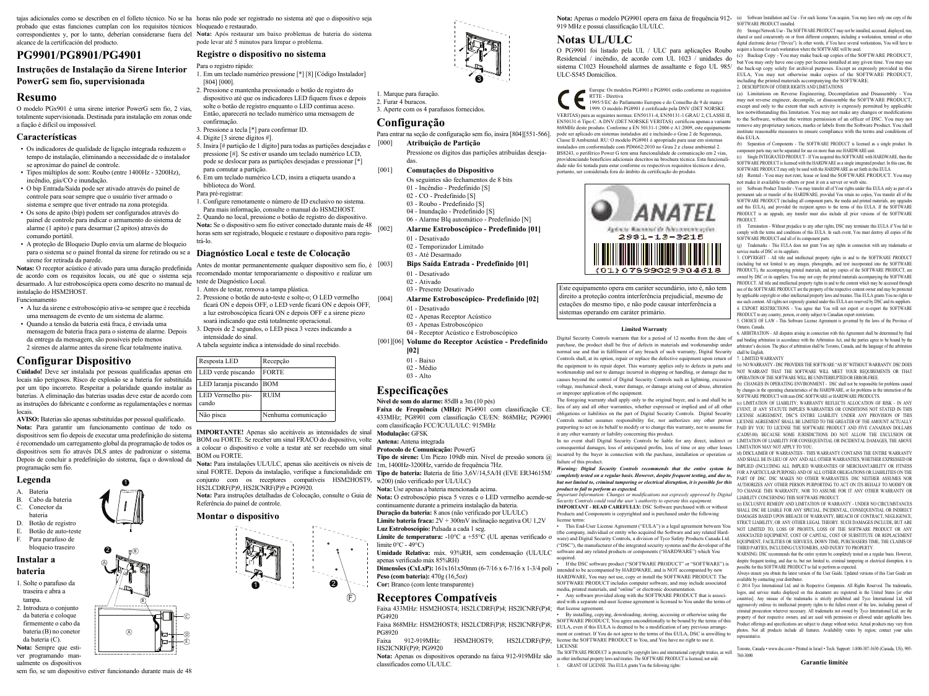probado que estas funciones cumplan con los requisitos técnicos bloqueado e restaurado. correspondientes y, por lo tanto, deberían considerarse fuera del **Nota:** Após restaurar um baixo problemas de bateria do sistema alcance de la certificación del producto.

### **PG9901/PG8901/PG4901**

# **Instruções de Instalação da Sirene Interior**

## **PowerG sem fio, supervisionada**

### **Resumo**

O modelo PGx901 é uma sirene interior PowerG sem fio, 2 vias, totalmente supervisionada. Destinada para instalação em zonas onde a fiação é difícil ou impossível.

#### **Características**

- ï Os indicadores de qualidade de ligação integrada reduzem o tempo de instalação, eliminando a necessidade de o instalador se aproximar do painel de controle.
- ï Tipos múltiplos de som: Roubo (entre 1400Hz 3200Hz), incêndio, gás/CO e inundação.
- ï O bip Entrada/Saída pode ser ativado através do painel de controle para soar sempre que o usuário tiver armado o sistema e sempre que tiver entrado na zona protegida.
- ï Os sons de apito (bip) podem ser configurados através do painel de controle para indicar o armamento do sistema de alarme (1 apito) e para desarmar (2 apitos) através do comando portátil.
- ï A proteção de Bloqueio Duplo envia um alarme de bloqueio para o sistema se o painel frontal da sirene for retirado ou se a sirene for retirada da parede.

**Notas:** O receptor acústico é ativado para uma duração predefinida de acordo com os requisitos locais, ou até que o sistema seja desarmado. A luz estroboscópica opera como descrito no manual de teste de Diagnóstico Local. instalação do HSM2HOST. Funcionamento

- ï A luz da sirene e estroboscópio ativa-se sempre que é recebida uma mensagem de evento de um sistema de alarme.
- ï Quando a tensão da bateria está fraca, é enviada uma mensagem de bateria fraca para o sistema de alarme. Depois da entrega da mensagem, são possíveis pelo menos 2 sirenes de alarme antes da sirene ficar totalmente inativa.

### **Configurar Dispositivo**

**Cuidado!** Deve ser instalada por pessoas qualificadas apenas em locais não perigosos. Risco de explosão se a bateria for substituída por um tipo incorreto. Respeitar a polaridade quando instalar as baterias. A eliminação das baterias usadas deve estar de acordo com as instruções do fabricante e conforme as regulamentações e normas locais.

**AVISO:** Baterias são apenas substituídas por pessoal qualificado. **Nota:** Para garantir um funcionamento contínuo de todo os dispositivos sem fio depois de executar uma predefinição do sistema é recomendado um carregamento global da programação de todos os dispositivos sem fio através DLS antes de padronizar o sistema. Depois de concluir a predefinição do sistema, faça o download da programação sem fio.

A

2

B

1

B

A

ĉ

E

#### **Legenda**

- A. Bateria
- B. Cabo da bateria
- C. Conector da bateria
- 
- D. Botão de registro E. Botão de auto-teste
- F. Para parafuso de
- bloqueio traseiro

#### **Instalar a bateria**

- 1. Solte o parafuso da traseira e abra a tampa.
- 2. Introduza o conjunto da bateria e coloque firmemente o cabo da bateria (B) no conetor
- da bateria (C). **Nota:** Sempre que estiver programando man-
- ualmente os dispositivos sem fio, se um dispositivo estiver funcionando durante mais de 48

tajas adicionales como se describen en el folleto técnico. No se ha horas não pode ser registrado no sistema até que o dispositivo seja

pode levar até 5 minutos para limpar o problema.

### **Registre o dispositivo no sistema**

- Para o registro rápido: 1. Em um teclado numérico pressione [\*] [8] [Código Instalador] [804] [000].
- 2. Pressione e mantenha pressionado o botão de registro do dispositivo até que os indicadores LED fiquem fixos e depois solte o botão de registro enquanto o LED continua aceso. Então, aparecerá no teclado numérico uma mensagem de

1. Marque para furação. 2. Furar 4 buracos.

**Configuração**

das.

**Especificações**

**[02]** 01 - Baixo 02 - Médio  $03 - \Delta$ lto

**Modulação:** GFSK

limite  $0^{\circ}$ C - 49 $^{\circ}$ C)

**Nível de som do alarme:** 85dB a 3m (10 pés)

com classificação FCC/IC/UL/ULC: 915MHz

**Nota:** Use apenas a bateria mencionada acima. continuamente durante a primeira instalação da bateria. **Duração da bateria:** 8 anos (não verificado por UL/ULC) **Limite bateria fraca:** 2V + 300mV inclinação negativa OU 1,2V

**Luz Estroboscópio:** Pulsada a cada 1 seg.

apenas verificado máx 85%RH)

**Peso (com bateria):** 470g (16,5oz) **Cor:** Branco (com lente transparente)

**Protocolo de Comunicação:** PowerG

**Faixa de Frequência (MHz):** PG4901 com classificação CE: 433MHz; PG8901 com classificação CE/EN: 868MHz; PG9901

**Tipo de sirene:** Um Piezo 109db min. Nível de pressão sonora @

3. Aperte com os 4 parafusos fornecidos.

[000] **Atribuição de Partição**

[001] **Comutações do Dispositivo**

01 - Desativado 02 - Temporizador Limitado 03 - Até Desarmado

01 - Desativado 02 - Ativado 03 - Presente Desativado

01 - Desativado 02 - Apenas Receptor Acústico 03 - Apenas Estroboscópico 04 - Receptor Acústico e Estroboscópico [001][06] **Volume do Receptor Acústico - Predefinido**

Para entrar na seção de configuração sem fio, insira [804][551-566].

Os seguintes são fechamentos de 8 bits 01 - Incêndio - Predefinido [S] 02 - CO - Predefinido [S] 03 - Roubo - Predefinido [S] 04 - Inundação - Predefinido [S] 06 - Alarme Blq automático - Predefinido [N] [002] **Alarme Estroboscópico - Predefinido [01]**

[003] **Bips Saída Entrada - Predefinido [01]**

Pressione os dígitos das partições atribuídas deseja-

3

- confirmação. 3. Pressione a tecla [\*] para confirmar ID.
- 4. Digite [3 sirene dígitos #].
- 5. Insira [# partição de 1 dígito] para todas as partições desejadas e pressione [#]. Se estiver usando um teclado numérico LCD, pode se deslocar para as partições desejadas e pressionar [\*] para comutar a partição. 6. Em um teclado numérico LCD, insira a etiqueta usando a
- biblioteca do Word. Para pré-registrar:

- 1. Configure remotamente o número de ID exclusivo no sistema. Para mais informação, consulte o manual do HSM2HOST. 2. Quando no local, pressione o botão de registro do dispositivo. **Nota:** Se o dispositivo sem fio estiver conectado durante mais de 48
- horas sem ser registrado, bloqueie e restaure o dispositivo para registrá-lo.

#### **Diagnóstico Local e teste de Colocação**

Antes de montar permanentemente qualquer dispositivo sem fio, é [003] recomendado montar temporariamente o dispositivo e realizar um

- 1. Antes de testar, remova a tampa plástica.
- 2. Pressione o botão de auto-teste e solte-o; O LED vermelho ficará ON e depois OFF, o LED verde ficará ON e depois OFF, a luz estroboscópica ficará ON e depois OFF e a sirene piezo [004] **Alarme Estroboscópico- Predefinido [02]**
- soará indicando que está totalmente operacional. 3. Depois de 2 segundos, o LED pisca  $3$  vezes indicando a intensidade do sinal.
- A tabela seguinte indica a intensidade do sinal recebido.

| Resposta LED               | Recepção            |
|----------------------------|---------------------|
| LED verde piscando         | <b>FORTE</b>        |
| LED laranja piscando BOM   |                     |
| LED Vermelho pis-<br>cando | <b>RUIM</b>         |
| Não pisca                  | Nenhuma comunicação |

**IMPORTANTE!** Apenas são aceitáveis as intensidades de sinal BOM ou FORTE. Se receber um sinal FRACO do dispositivo, volte **Antena:** Antena integrada a colocar o dispositivo e volte a testar até ser recebido um sinal BOM ou FORTE.

**Nota:** Para instalações UL/ULC, apenas são aceitáveis os níveis de 1m, 1400Hz-3200Hz, varrido de frequência 7Hz. sinal FORTE. Depois da instalação, verifique a funcionalidade em **Tipo de bateria:** Bateria de lítio 3,6V/14,5A/H (EVE ER34615M/ conjunto com os receptores compatíveis HSM2HOST9, HS2LCDRF(P)9, HS2ICNRF(P)9 e PG9920. w200) (não verificado por UL/ULC)

**Nota:** Para instruções detalhadas de Colocação, consulte o Guia de **Nota:** O estroboscópio pisca 5 vezes e o LED vermelho acende-se Referência do painel de controle.

#### **Montar o dispositivo**

 $\mathbf e$ F 1 (\*)

**Receptores Compatíveis** Faixa 433MHz: HSM2HOST4; HS2LCDRF(P)4; HS2ICNRF(P)4; that license agreement. PG4920

Limite de temperatura: -10°C a +55°C (UL apenas verificado o

Faixa 868MHz: HSM2HOST8; HS2LCDRF(P)8; HS2ICNRF(P)8; PG8920

Faixa 912-919MHz: HSM2HOST9; HS2LCDRF(P)9; HS2ICNRF(P)9; PG9920

**Nota:** Apenas os dispositivos operando na faixa 912-919MHz são classificados como UL/ULC.

Nota: Apenas o modelo PG9901 opera em faixa de frequência 912- (a) Software Installation and Use - For each license You acquire, You may have only one copy of the 919 MHz e possui classificação UL/ULC. SOFTWARE PRODUCT installed.

## **Notas UL/ULC**

O PG9901 foi listado pela UL / ULC para aplicações Roubo acquire a license for each workstation where the SOFTWARE will be used. Residencial / incêndio, de acordo com UL 1023 / unidades do sistema C1023 Household alarmes de assaltante e fogo UL 985/ the back-up copy solely for archival purposes. Except as expressly provided in this ULC-S545 Domicílios.

Europa: Os modelos PG4901 e PG8901 estão conforme os requisitos RTTE - Diretiva

1995/5/EC do Parlamento Europeu e do Conselho de 9 de março 1999. O modelo PG8901 é certificado pela DNV (DET NORSKE VERITAS) para as seguintes normas: EN50131-4, EN50131-1 GRAU 2, CLASSE II, EN50131-6 Tipo C. A DNV (DET NORSKE VERITAS) certificou apenas a variante 868MHz deste produto. Conforme a EN 50131-1:2006 e A1:2009, este equipamento pode ser aplicado em sistemas instalados até e incluindo o Grau 2 de Segurança, Classe II Ambiental. RU: O modelo PG8901 é apropriado para usar em sistemas instalados em conformidade com PD6662:2010 no Grau 2 e classe ambiental 2. BS8243, o periférico Power G tem uma funcionalidade de comunicação em 2 vias, providenciando benefícios adicionais descritos na brochura técnica. Esta funcionalidade não foi testada para estar conforme os respectivos requisitos técnicos e deve, portanto, ser considerada fora do âmbito da certificação do produto.



Este equipamento opera em caráter secundário, isto é, não tem direito a proteção contra interferência prejudicial, mesmo de estações do mesmo tipo, e não pode causar interferência a sistemas operando em caráter primário.

#### **Limited Warranty**

Digital Security Controls warrants that for a period of 12 months from the date of and binding arbitration in accordance with the Arbitration Act, and the parties agree to be bound by the purchase, the product shall be free of defects in materials and workmanship under arbitrator's decision. The place of arbitration shall be Toronto, Canada, and the language of the arbitration normal use and that in fulfilment of any breach of such warranty, Digital Security shall be English. Controls shall, at its option, repair or replace the defective equipment upon return of 7. LIMITED WARRANTY the equipment to its repair depot. This warranty applies only to defects in parts and (a) NO WARRANTY - DSC PROVIDES THE SOFTWARE "AS IS" WITHOUT WARRANTY. DSC DOES workmanship and not to damage incurred in shipping or handling, or damage due to NOT WARRANT THAT THE SOFTWARE WILL MEET YOUR REQUIREMENTS OR THAT causes beyond the control of Digital Security Controls such as lightning, excessive OPERATION OF THE SOFTWARE WILL BE UNINTERRUPTED OR ERROR-FREE. voltage, mechanical shock, water damage, or damage arising out of abuse, alteration or improper application of the equipment

The foregoing warranty shall apply only to the original buyer, and is and shall be in lieu of any and all other warranties, whether expressed or implied and of all other EVENT, IF ANY STATUTE IMPLIES WARRANTY REFLECTS ALLOCATION OF KISK - IN ANY ELECTS ALLOCATION OF KISK - IN ANY ELECTS ALLOCATION OF KISK obligations or liabilities on the part of Digital Security Controls. Digital Security LICENSE AGREEMENT, DSC'S ENTIRE LIABILITY UNDER ANY PROVISION OF THIS Controls neither assumes responsibility for, nor authorizes any other person LICENSE AGREEMENT SHALL BE LIMITED TO THE GREATER OF THE AMOUNT ACTUALLY purporting to act on its behalf to modify or to change this warranty, nor to assume for PAID BY YOU TO LICENSE THE SOFTWARE PRODUCT AND FIVE CANADIAN DOLLARS it any other warranty or liability concerning this product.

consequential damages, loss of anticipated profits, loss of time or any other losses LIMITATION MAY NOT APPLY TO YOU. incurred by the buyer in connection with the purchase, installation or operation or failure of this product.

*Warning: Digital Security Controls recommends that the entire system be completely tested on a regular basis. However, despite frequent testing, and due to, but not limited to, criminal tampering or electrical disruption, it is possible for this product to fail to perform as expected.*

*Important Information: Changes or modifications not expressly approved by Digital Security Controls could void the user's authority to operate this equipment.* **IMPORTANT - READ CAREFULLY:** DSC Software purchased with or without Products and Components is copyrighted and is purchased under the following license terms:

**Umidade Relativa:** máx. 93%RH, sem condensação (UL/ULC software and any related products or components ("HARDWARE") which You ï This End-User License Agreement ("EULA") is a legal agreement between You (the company, individual or entity who acquired the Software and any related Hardware) and Digital Security Controls, a division of Tyco Safety Products Canada Ltd. ("DSC"), the manufacturer of the integrated security systems and the developer of the

**Dimensões (CxLxP):** 161x161x50mm (6-7/16 x 6-7/16 x 1-3/4 pol) intended to be accompanied by HARDWARE, and is NOT accompanied by new acquired.<br>• If the DSC software product ("SOFTWARE PRODUCT" or "SOFTWARE") is HARDWARE, You may not use, copy or install the SOFTWARE PRODUCT. The SOFTWARE PRODUCT includes computer software, and may include associated media, printed materials, and "online" or electronic documentation.

• Any software provided along with the SOFTWARE PRODUCT that is associated with a separate end-user license agreement is licensed to You under the terms of

• By installing, copying, downloading, storing, accessing or otherwise using the SOFTWARE PRODUCT, You agree unconditionally to be bound by the terms of this EULA, even if this EULA is deemed to be a modification of any previous arrangement or contract. If You do not agree to the terms of this EULA, DSC is unwilling to license the SOFTWARE PRODUCT to You, and You have no right to use it. LICENSE

The SOFTWARE PRODUCT is protected by copyright laws and international copyright treaties, as well as other intellectual property laws and treaties. The SOFTWARE PRODUCT is licensed, not sold. 1. GRANT OF LICENSE This EULA grants You the following rights:

(b) Storage/Network Use - The SOFTWARE PRODUCT may not be installed, accessed, displayed, run, shared or used concurrently on or from different computers, including a workstation, terminal or other digital electronic device ("Device"). In other words, if You have several workstations, You will have to

(c) Backup Copy - You may make back-up copies of the SOFTWARE PRODUCT, but You may only have one copy per license installed at any given time. You may use EULA. You may not otherwise make copies of the SOFTWARE PRODUCT including the printed materials accompanying the SOFTWARE.

2. DESCRIPTION OF OTHER RIGHTS AND LIMITATIONS

(a) Limitations on Reverse Engineering, Decompilation and Disassembly - You may not reverse engineer, decompile, or disassemble the SOFTWARE PRODUCT, except and only to the extent that such activity is expressly permitted by applicable law notwithstanding this limitation. You may not make any changes or modifications to the Software, without the written permission of an officer of DSC. You may not remove any proprietary notices, marks or labels from the Software Product. You shall institute reasonable measures to ensure compliance with the terms and conditions of this EULA.

(b) Separation of Components - The SOFTWARE PRODUCT is licensed as a single product. Its component parts may not be separated for use on more than one HARDWARE unit.

(c) Single INTEGRATED PRODUCT - If You acquired this SOFTWARE with HARDWARE, then the SOFTWARE PRODUCT is licensed with the HARDWARE as a single integrated product. In this case, the SOFTWARE PRODUCT may only be used with the HARDWARE as set forth in this EULA.

(d) Rental - You may not rent, lease or lend the SOFTWARE PRODUCT. You may not make it available to others or post it on a server or web site.

(e) Software Product Transfer - You may transfer all of Your rights under this EULA only as part of a permanent sale or transfer of the HARDWARE, provided You retain no copies, You transfer all of the SOFTWARE PRODUCT (including all component parts, the media and printed materials, any upgrades and this EULA), and provided the recipient agrees to the terms of this EULA. If the SOFTWARE PRODUCT is an upgrade, any transfer must also include all prior versions of the SOFTWARE PRODUCT.

(f) Termination - Without prejudice to any other rights, DSC may terminate this EULA if You fail to comply with the terms and conditions of this EULA. In such event, You must destroy all copies of the SOFTWARE PRODUCT and all of its component parts.

(g) Trademarks - This EULA does not grant You any rights in connection with any trademarks or service marks of DSC or its suppliers.

3. COPYRIGHT - All title and intellectual property rights in and to the SOFTWARE PRODUCT (including but not limited to any images, photographs, and text incorporated into the SOFTWARE PRODUCT), the accompanying printed materials, and any copies of the SOFTWARE PRODUCT, are owned by DSC or its suppliers. You may not copy the printed materials accompanying the SOFTWARE PRODUCT. All title and intellectual property rights in and to the content which may be accessed through use of the SOFTWARE PRODUCT are the property of the respective content owner and may be protected by applicable copyright or other intellectual property laws and treaties. This EULA grants You no rights to use such content. All rights not expressly granted under this EULA are reserved by DSC and its suppliers. 4. EXPORT RESTRICTIONS - You agree that You will not export or re-export the SOFTWARE PRODUCT to any country, person, or entity subject to Canadian export restriction

5. CHOICE OF LAW - This Software License Agreement is governed by the laws of the Province of Ontario, Canada.

6. ARBITRATION - All disputes arising in connection with this Agreement shall be determined by final

760-3000

(b) CHANGES IN OPERATING ENVIRONMENT - DSC shall not be responsible for problems caused by changes in the operating characteristics of the HARDWARE, or for problems in the interaction of the SOFTWARE PRODUCT with non-DSC-SOFTWARE or HARDWARE PRODUCTS.<br>(c) LIMITATION OF LIABILITY: WARRANTY REFLECTS ALLOCATION OF RISK - IN ANY

In no event shall Digital Security Controls be liable for any direct, indirect or LIMITATION OF LIABILITY FOR CONSEQUENTIAL OR INCIDENTAL DAMAGES, THE ABOVE (CAD\$5.00). BECAUSE SOME JURISDICTIONS DO NOT ALLOW THE EXCLUSION OR

(d) DISCLAIMER OF WARRANTIES - THIS WARRANTY CONTAINS THE ENTIRE WARRANTY AND SHALL BE IN LIEU OF ANY AND ALL OTHER WARRANTIES, WHETHER EXPRESSED OR IMPLIED (INCLUDING ALL IMPLIED WARRANTIES OF MERCHANTABILITY OR FITNESS FOR A PARTICULAR PURPOSE) AND OF ALL OTHER OBLIGATIONS OR LIABILITIES ON THE PART OF DSC. DSC MAKES NO OTHER WARRANTIES. DSC NEITHER ASSUMES NOR AUTHORIZES ANY OTHER PERSON PURPORTING TO ACT ON ITS BEHALF TO MODIFY OR TO CHANGE THIS WARRANTY, NOR TO ASSUME FOR IT ANY OTHER WARRANTY OR

LIABILITY CONCERNING THIS SOFTWARE PRODUCT. (e) EXCLUSIVE REMEDY AND LIMITATION OF WARRANTY - UNDER NO CIRCUMSTANCES SHALL DSC BE LIABLE FOR ANY SPECIAL, INCIDENTAL, CONSEQUENTIAL OR INDIRECT DAMAGES BASED UPON BREACH OF WARRANTY, BREACH OF CONTRACT, NEGLIGENCE, STRICT LIABILITY, OR ANY OTHER LEGAL THEORY. SUCH DAMAGES INCLUDE, BUT ARE NOT LIMITED TO, LOSS OF PROFITS, LOSS OF THE SOFTWARE PRODUCT OR ANY ASSOCIATED FOURMENT, COST OF CAPITAL, COST OF SUBSTITUTE OR REPLACEMENT EQUIPMENT, FACILITIES OR SERVICES, DOWN TIME, PURCHASERS TIME, THE CLAIMS OF THIRD PARTIES, INCLUDING CUSTOMERS, AND INJURY TO PROPERTY.

WARNING: DSC recommends that the entire system be completely tested on a regular basis. However, despite frequent testing, and due to, but not limited to, criminal tampering or electrical disruption, it is possible for this SOFTWARE PRODUCT to fail to perform as expected.

Always ensure you obtain the latest version of the User Guide. Updated versions of this User Guide are available by contacting your distributor.

© 2014 Tyco International Ltd. and its Respective Companies. All Rights Reserved. The trademarks, logos, and service marks displayed on this document are registered in the United States for other countries]. Any misuse of the trademarks is strictly prohibited and Tyco International Ltd. will aggressively enforce its intellectual property rights to the fullest extent of the law, including pursuit of criminal prosecution wherever necessary. All trademarks not owned by Tyco International Ltd. are the property of their respective owners, and are used with permission or allowed under applicable laws. Product offerings and specifications are subject to change without notice. Actual products may vary from photos. Not all products include all features. Availability varies by region; contact your sales representative.

Toronto, Canada · www.dsc.com · Printed in Israel · Tech. Support: 1-800-387-3630 (Canada, US), 905-

**Garantie limitée**